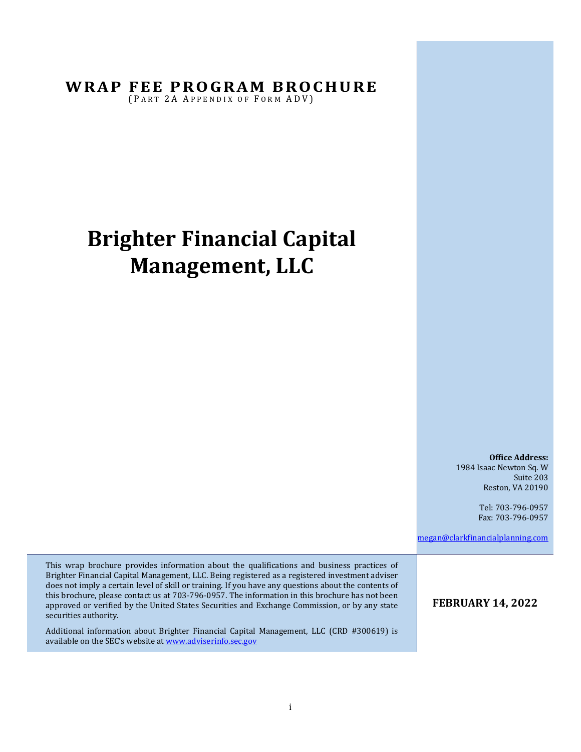**WRAP FEE PROGRAM BROCHURE** 

(PART 2A APPENDIX OF FORM ADV)

# **Brighter Financial Capital Management, LLC**

**Office Address:** 1984 Isaac Newton Sq. W Suite 203 Reston, VA 20190

> Tel: 703-796-0957 Fax: 703-796-0957

[megan@clarkfinancialplanning.com](mailto:Person@Firm.com)

This wrap brochure provides information about the qualifications and business practices of Brighter Financial Capital Management, LLC. Being registered as a registered investment adviser does not imply a certain level of skill or training. If you have any questions about the contents of this brochure, please contact us at 703-796-0957. The information in this brochure has not been approved or verified by the United States Securities and Exchange Commission, or by any state securities authority.

Additional information about Brighter Financial Capital Management, LLC (CRD #300619) is available on the SEC's website at [www.adviserinfo.sec.gov](http://www.adviserinfo.sec.gov/)

#### **FEBRUARY 14, 2022**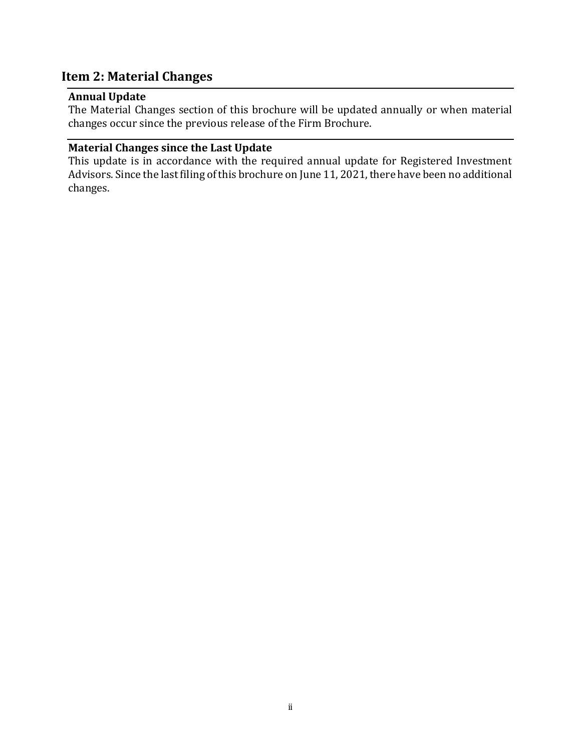# <span id="page-1-0"></span>**Item 2: Material Changes**

#### <span id="page-1-1"></span>**Annual Update**

The Material Changes section of this brochure will be updated annually or when material changes occur since the previous release of the Firm Brochure.

# <span id="page-1-2"></span>**Material Changes since the Last Update**

This update is in accordance with the required annual update for Registered Investment Advisors.Since the last filing of this brochure on June 11, 2021, there have been no additional changes.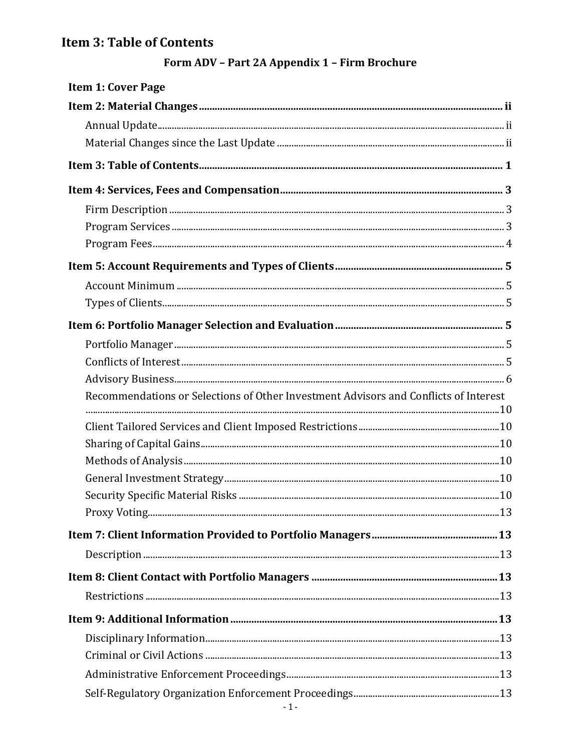# <span id="page-2-0"></span>Item 3: Table of Contents

# Form ADV - Part 2A Appendix 1 - Firm Brochure

| <b>Item 1: Cover Page</b>                                                            |  |
|--------------------------------------------------------------------------------------|--|
|                                                                                      |  |
|                                                                                      |  |
|                                                                                      |  |
|                                                                                      |  |
|                                                                                      |  |
|                                                                                      |  |
|                                                                                      |  |
|                                                                                      |  |
|                                                                                      |  |
|                                                                                      |  |
|                                                                                      |  |
|                                                                                      |  |
|                                                                                      |  |
|                                                                                      |  |
|                                                                                      |  |
| Recommendations or Selections of Other Investment Advisors and Conflicts of Interest |  |
|                                                                                      |  |
|                                                                                      |  |
|                                                                                      |  |
|                                                                                      |  |
|                                                                                      |  |
|                                                                                      |  |
|                                                                                      |  |
|                                                                                      |  |
|                                                                                      |  |
|                                                                                      |  |
|                                                                                      |  |
|                                                                                      |  |
|                                                                                      |  |
|                                                                                      |  |
|                                                                                      |  |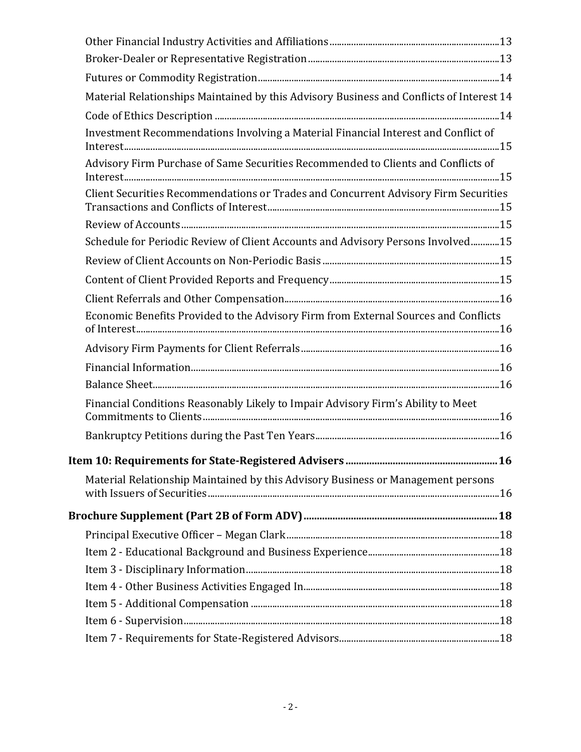| Material Relationships Maintained by this Advisory Business and Conflicts of Interest 14 |  |
|------------------------------------------------------------------------------------------|--|
|                                                                                          |  |
| Investment Recommendations Involving a Material Financial Interest and Conflict of       |  |
| Advisory Firm Purchase of Same Securities Recommended to Clients and Conflicts of        |  |
| Client Securities Recommendations or Trades and Concurrent Advisory Firm Securities      |  |
|                                                                                          |  |
| Schedule for Periodic Review of Client Accounts and Advisory Persons Involved15          |  |
|                                                                                          |  |
|                                                                                          |  |
|                                                                                          |  |
| Economic Benefits Provided to the Advisory Firm from External Sources and Conflicts      |  |
|                                                                                          |  |
|                                                                                          |  |
|                                                                                          |  |
| Financial Conditions Reasonably Likely to Impair Advisory Firm's Ability to Meet         |  |
|                                                                                          |  |
|                                                                                          |  |
| Material Relationship Maintained by this Advisory Business or Management persons         |  |
|                                                                                          |  |
|                                                                                          |  |
|                                                                                          |  |
|                                                                                          |  |
|                                                                                          |  |
|                                                                                          |  |
|                                                                                          |  |
|                                                                                          |  |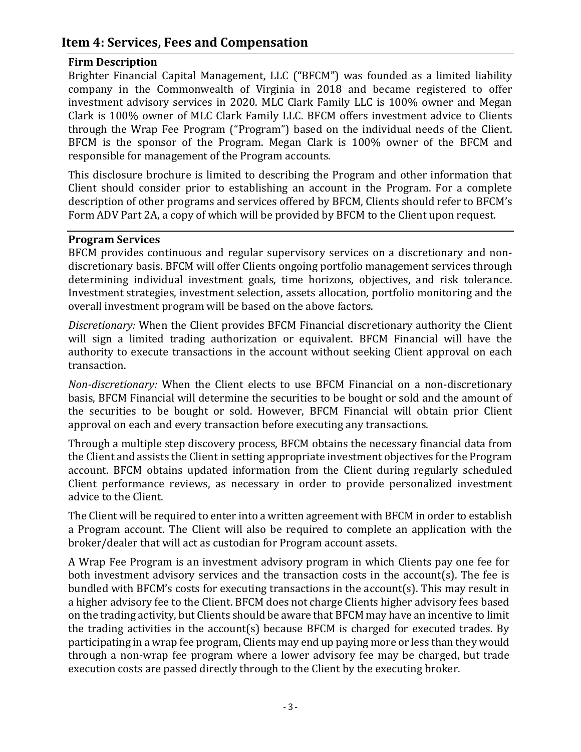# <span id="page-4-0"></span>**Item 4: Services, Fees and Compensation**

#### <span id="page-4-1"></span>**Firm Description**

Brighter Financial Capital Management, LLC ("BFCM") was founded as a limited liability company in the Commonwealth of Virginia in 2018 and became registered to offer investment advisory services in 2020. MLC Clark Family LLC is 100% owner and Megan Clark is 100% owner of MLC Clark Family LLC. BFCM offers investment advice to Clients through the Wrap Fee Program ("Program") based on the individual needs of the Client. BFCM is the sponsor of the Program. Megan Clark is 100% owner of the BFCM and responsible for management of the Program accounts.

This disclosure brochure is limited to describing the Program and other information that Client should consider prior to establishing an account in the Program. For a complete description of other programs and services offered by BFCM, Clients should refer to BFCM's Form ADV Part 2A, a copy of which will be provided by BFCM to the Client upon request.

#### <span id="page-4-2"></span>**Program Services**

BFCM provides continuous and regular supervisory services on a discretionary and nondiscretionary basis. BFCM will offer Clients ongoing portfolio management services through determining individual investment goals, time horizons, objectives, and risk tolerance. Investment strategies, investment selection, assets allocation, portfolio monitoring and the overall investment program will be based on the above factors.

*Discretionary:* When the Client provides BFCM Financial discretionary authority the Client will sign a limited trading authorization or equivalent. BFCM Financial will have the authority to execute transactions in the account without seeking Client approval on each transaction.

*Non-discretionary:* When the Client elects to use BFCM Financial on a non-discretionary basis, BFCM Financial will determine the securities to be bought or sold and the amount of the securities to be bought or sold. However, BFCM Financial will obtain prior Client approval on each and every transaction before executing any transactions.

Through a multiple step discovery process, BFCM obtains the necessary financial data from the Client and assists the Client in setting appropriate investment objectives for the Program account. BFCM obtains updated information from the Client during regularly scheduled Client performance reviews, as necessary in order to provide personalized investment advice to the Client.

The Client will be required to enter into a written agreement with BFCM in order to establish a Program account. The Client will also be required to complete an application with the broker/dealer that will act as custodian for Program account assets.

A Wrap Fee Program is an investment advisory program in which Clients pay one fee for both investment advisory services and the transaction costs in the account(s). The fee is bundled with BFCM's costs for executing transactions in the account(s). This may result in a higher advisory fee to the Client. BFCM does not charge Clients higher advisory fees based on the trading activity, but Clients should be aware that BFCM may have an incentive to limit the trading activities in the account(s) because BFCM is charged for executed trades. By participating in a wrap fee program, Clients may end up paying more or less than they would through a non-wrap fee program where a lower advisory fee may be charged, but trade execution costs are passed directly through to the Client by the executing broker.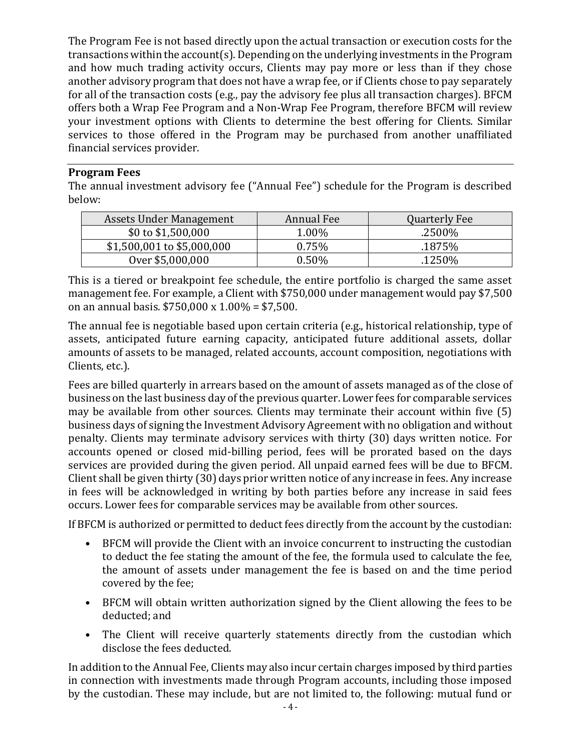The Program Fee is not based directly upon the actual transaction or execution costs for the transactions within the account(s). Depending on the underlying investments in the Program and how much trading activity occurs, Clients may pay more or less than if they chose another advisory program that does not have a wrap fee, or if Clients chose to pay separately for all of the transaction costs (e.g., pay the advisory fee plus all transaction charges). BFCM offers both a Wrap Fee Program and a Non-Wrap Fee Program, therefore BFCM will review your investment options with Clients to determine the best offering for Clients. Similar services to those offered in the Program may be purchased from another unaffiliated financial services provider.

## <span id="page-5-0"></span>**Program Fees**

The annual investment advisory fee ("Annual Fee") schedule for the Program is described below:

| Assets Under Management    | Annual Fee | <b>Quarterly Fee</b> |
|----------------------------|------------|----------------------|
| \$0 to \$1,500,000         | 1.00%      | .2500%               |
| \$1,500,001 to \$5,000,000 | 0.75%      | .1875%               |
| Over \$5,000,000           | 0.50%      | .1250%               |

This is a tiered or breakpoint fee schedule, the entire portfolio is charged the same asset management fee. For example, a Client with \$750,000 under management would pay \$7,500 on an annual basis. \$750,000 x 1.00% = \$7,500.

The annual fee is negotiable based upon certain criteria (e.g., historical relationship, type of assets, anticipated future earning capacity, anticipated future additional assets, dollar amounts of assets to be managed, related accounts, account composition, negotiations with Clients, etc.).

Fees are billed quarterly in arrears based on the amount of assets managed as of the close of business on the last business day of the previous quarter. Lower fees for comparable services may be available from other sources. Clients may terminate their account within five (5) business days of signing the Investment Advisory Agreement with no obligation and without penalty. Clients may terminate advisory services with thirty (30) days written notice. For accounts opened or closed mid-billing period, fees will be prorated based on the days services are provided during the given period. All unpaid earned fees will be due to BFCM. Client shall be given thirty (30) days prior written notice of any increase in fees. Any increase in fees will be acknowledged in writing by both parties before any increase in said fees occurs. Lower fees for comparable services may be available from other sources.

If BFCM is authorized or permitted to deduct fees directly from the account by the custodian:

- BFCM will provide the Client with an invoice concurrent to instructing the custodian to deduct the fee stating the amount of the fee, the formula used to calculate the fee, the amount of assets under management the fee is based on and the time period covered by the fee;
- BFCM will obtain written authorization signed by the Client allowing the fees to be deducted; and
- The Client will receive quarterly statements directly from the custodian which disclose the fees deducted.

In addition to the Annual Fee, Clients may also incur certain charges imposed by third parties in connection with investments made through Program accounts, including those imposed by the custodian. These may include, but are not limited to, the following: mutual fund or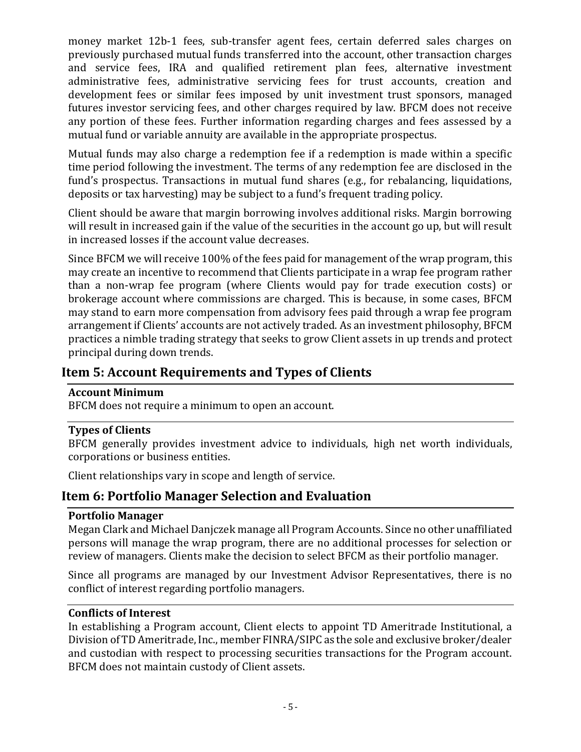money market 12b-1 fees, sub-transfer agent fees, certain deferred sales charges on previously purchased mutual funds transferred into the account, other transaction charges and service fees, IRA and qualified retirement plan fees, alternative investment administrative fees, administrative servicing fees for trust accounts, creation and development fees or similar fees imposed by unit investment trust sponsors, managed futures investor servicing fees, and other charges required by law. BFCM does not receive any portion of these fees. Further information regarding charges and fees assessed by a mutual fund or variable annuity are available in the appropriate prospectus.

Mutual funds may also charge a redemption fee if a redemption is made within a specific time period following the investment. The terms of any redemption fee are disclosed in the fund's prospectus. Transactions in mutual fund shares (e.g., for rebalancing, liquidations, deposits or tax harvesting) may be subject to a fund's frequent trading policy.

Client should be aware that margin borrowing involves additional risks. Margin borrowing will result in increased gain if the value of the securities in the account go up, but will result in increased losses if the account value decreases.

Since BFCM we will receive 100% of the fees paid for management of the wrap program, this may create an incentive to recommend that Clients participate in a wrap fee program rather than a non-wrap fee program (where Clients would pay for trade execution costs) or brokerage account where commissions are charged. This is because, in some cases, BFCM may stand to earn more compensation from advisory fees paid through a wrap fee program arrangement if Clients' accounts are not actively traded. As an investment philosophy, BFCM practices a nimble trading strategy that seeks to grow Client assets in up trends and protect principal during down trends.

# <span id="page-6-0"></span>**Item 5: Account Requirements and Types of Clients**

# <span id="page-6-1"></span>**Account Minimum**

BFCM does not require a minimum to open an account.

# <span id="page-6-2"></span>**Types of Clients**

BFCM generally provides investment advice to individuals, high net worth individuals, corporations or business entities.

Client relationships vary in scope and length of service.

# <span id="page-6-3"></span>**Item 6: Portfolio Manager Selection and Evaluation**

#### <span id="page-6-4"></span>**Portfolio Manager**

Megan Clark and Michael Danjczek manage all Program Accounts. Since no other unaffiliated persons will manage the wrap program, there are no additional processes for selection or review of managers. Clients make the decision to select BFCM as their portfolio manager.

Since all programs are managed by our Investment Advisor Representatives, there is no conflict of interest regarding portfolio managers.

## <span id="page-6-5"></span>**Conflicts of Interest**

In establishing a Program account, Client elects to appoint TD Ameritrade Institutional, a Division of TD Ameritrade, Inc., member FINRA/SIPC as the sole and exclusive broker/dealer and custodian with respect to processing securities transactions for the Program account. BFCM does not maintain custody of Client assets.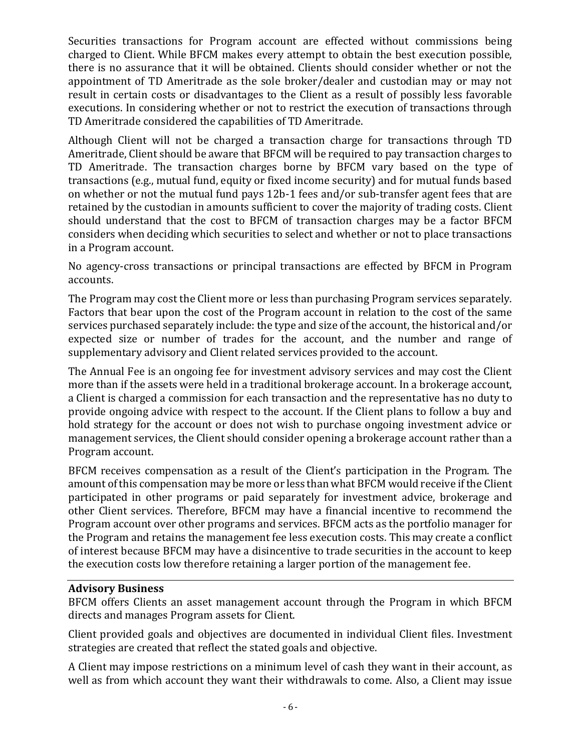Securities transactions for Program account are effected without commissions being charged to Client. While BFCM makes every attempt to obtain the best execution possible, there is no assurance that it will be obtained. Clients should consider whether or not the appointment of TD Ameritrade as the sole broker/dealer and custodian may or may not result in certain costs or disadvantages to the Client as a result of possibly less favorable executions. In considering whether or not to restrict the execution of transactions through TD Ameritrade considered the capabilities of TD Ameritrade.

Although Client will not be charged a transaction charge for transactions through TD Ameritrade, Client should be aware that BFCM will be required to pay transaction charges to TD Ameritrade. The transaction charges borne by BFCM vary based on the type of transactions (e.g., mutual fund, equity or fixed income security) and for mutual funds based on whether or not the mutual fund pays 12b-1 fees and/or sub-transfer agent fees that are retained by the custodian in amounts sufficient to cover the majority of trading costs. Client should understand that the cost to BFCM of transaction charges may be a factor BFCM considers when deciding which securities to select and whether or not to place transactions in a Program account.

No agency-cross transactions or principal transactions are effected by BFCM in Program accounts.

The Program may cost the Client more or less than purchasing Program services separately. Factors that bear upon the cost of the Program account in relation to the cost of the same services purchased separately include: the type and size of the account, the historical and/or expected size or number of trades for the account, and the number and range of supplementary advisory and Client related services provided to the account.

The Annual Fee is an ongoing fee for investment advisory services and may cost the Client more than if the assets were held in a traditional brokerage account. In a brokerage account, a Client is charged a commission for each transaction and the representative has no duty to provide ongoing advice with respect to the account. If the Client plans to follow a buy and hold strategy for the account or does not wish to purchase ongoing investment advice or management services, the Client should consider opening a brokerage account rather than a Program account.

BFCM receives compensation as a result of the Client's participation in the Program. The amount of this compensation may be more or less than what BFCM would receive if the Client participated in other programs or paid separately for investment advice, brokerage and other Client services. Therefore, BFCM may have a financial incentive to recommend the Program account over other programs and services. BFCM acts as the portfolio manager for the Program and retains the management fee less execution costs. This may create a conflict of interest because BFCM may have a disincentive to trade securities in the account to keep the execution costs low therefore retaining a larger portion of the management fee.

#### <span id="page-7-0"></span>**Advisory Business**

BFCM offers Clients an asset management account through the Program in which BFCM directs and manages Program assets for Client.

Client provided goals and objectives are documented in individual Client files. Investment strategies are created that reflect the stated goals and objective.

A Client may impose restrictions on a minimum level of cash they want in their account, as well as from which account they want their withdrawals to come. Also, a Client may issue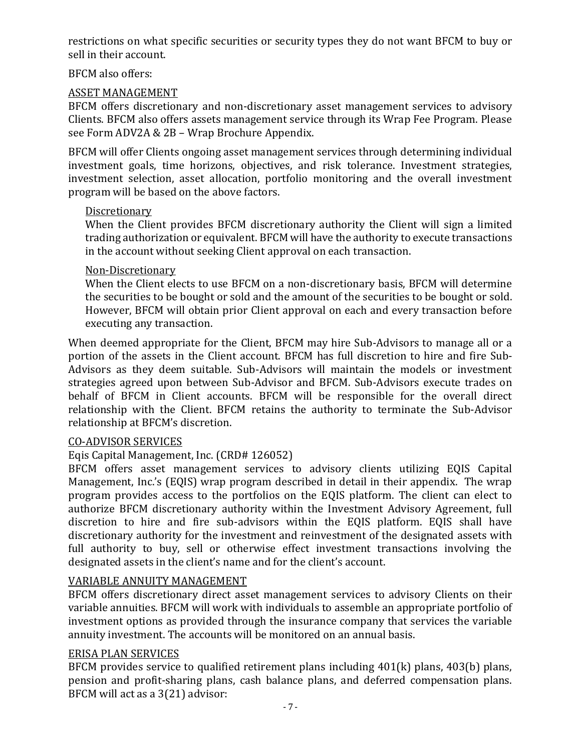restrictions on what specific securities or security types they do not want BFCM to buy or sell in their account.

BFCM also offers:

# ASSET MANAGEMENT

BFCM offers discretionary and non-discretionary asset management services to advisory Clients. BFCM also offers assets management service through its Wrap Fee Program. Please see Form ADV2A & 2B – Wrap Brochure Appendix.

BFCM will offer Clients ongoing asset management services through determining individual investment goals, time horizons, objectives, and risk tolerance. Investment strategies, investment selection, asset allocation, portfolio monitoring and the overall investment program will be based on the above factors.

## Discretionary

When the Client provides BFCM discretionary authority the Client will sign a limited trading authorization or equivalent. BFCM will have the authority to execute transactions in the account without seeking Client approval on each transaction.

## Non-Discretionary

When the Client elects to use BFCM on a non-discretionary basis, BFCM will determine the securities to be bought or sold and the amount of the securities to be bought or sold. However, BFCM will obtain prior Client approval on each and every transaction before executing any transaction.

When deemed appropriate for the Client, BFCM may hire Sub-Advisors to manage all or a portion of the assets in the Client account. BFCM has full discretion to hire and fire Sub-Advisors as they deem suitable. Sub-Advisors will maintain the models or investment strategies agreed upon between Sub-Advisor and BFCM. Sub-Advisors execute trades on behalf of BFCM in Client accounts. BFCM will be responsible for the overall direct relationship with the Client. BFCM retains the authority to terminate the Sub-Advisor relationship at BFCM's discretion.

# CO-ADVISOR SERVICES

# Eqis Capital Management, Inc. (CRD# 126052)

BFCM offers asset management services to advisory clients utilizing EQIS Capital Management, Inc.'s (EQIS) wrap program described in detail in their appendix. The wrap program provides access to the portfolios on the EQIS platform. The client can elect to authorize BFCM discretionary authority within the Investment Advisory Agreement, full discretion to hire and fire sub-advisors within the EQIS platform. EQIS shall have discretionary authority for the investment and reinvestment of the designated assets with full authority to buy, sell or otherwise effect investment transactions involving the designated assets in the client's name and for the client's account.

# VARIABLE ANNUITY MANAGEMENT

BFCM offers discretionary direct asset management services to advisory Clients on their variable annuities. BFCM will work with individuals to assemble an appropriate portfolio of investment options as provided through the insurance company that services the variable annuity investment. The accounts will be monitored on an annual basis.

# ERISA PLAN SERVICES

BFCM provides service to qualified retirement plans including 401(k) plans, 403(b) plans, pension and profit-sharing plans, cash balance plans, and deferred compensation plans. BFCM will act as a 3(21) advisor: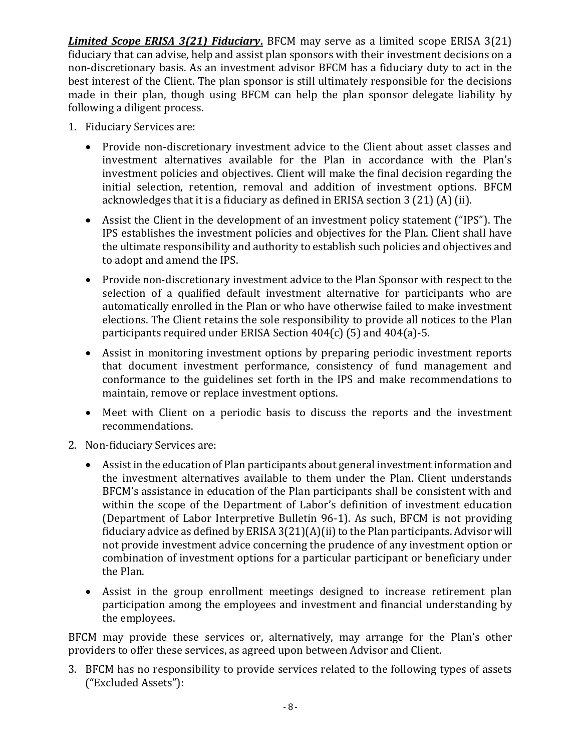*Limited Scope ERISA 3(21) Fiduciary***.** BFCM may serve as a limited scope ERISA 3(21) fiduciary that can advise, help and assist plan sponsors with their investment decisions on a non-discretionary basis. As an investment advisor BFCM has a fiduciary duty to act in the best interest of the Client. The plan sponsor is still ultimately responsible for the decisions made in their plan, though using BFCM can help the plan sponsor delegate liability by following a diligent process.

- 1. Fiduciary Services are:
	- Provide non-discretionary investment advice to the Client about asset classes and investment alternatives available for the Plan in accordance with the Plan's investment policies and objectives. Client will make the final decision regarding the initial selection, retention, removal and addition of investment options. BFCM acknowledges that it is a fiduciary as defined in ERISA section 3 (21) (A) (ii).
	- Assist the Client in the development of an investment policy statement ("IPS"). The IPS establishes the investment policies and objectives for the Plan. Client shall have the ultimate responsibility and authority to establish such policies and objectives and to adopt and amend the IPS.
	- Provide non-discretionary investment advice to the Plan Sponsor with respect to the selection of a qualified default investment alternative for participants who are automatically enrolled in the Plan or who have otherwise failed to make investment elections. The Client retains the sole responsibility to provide all notices to the Plan participants required under ERISA Section 404(c) (5) and 404(a)-5.
	- Assist in monitoring investment options by preparing periodic investment reports that document investment performance, consistency of fund management and conformance to the guidelines set forth in the IPS and make recommendations to maintain, remove or replace investment options.
	- Meet with Client on a periodic basis to discuss the reports and the investment recommendations.
- 2. Non-fiduciary Services are:
	- Assist in the education of Plan participants about general investment information and the investment alternatives available to them under the Plan. Client understands BFCM's assistance in education of the Plan participants shall be consistent with and within the scope of the Department of Labor's definition of investment education (Department of Labor Interpretive Bulletin 96-1). As such, BFCM is not providing fiduciary advice as defined by ERISA 3(21)(A)(ii) to the Plan participants. Advisor will not provide investment advice concerning the prudence of any investment option or combination of investment options for a particular participant or beneficiary under the Plan.
	- Assist in the group enrollment meetings designed to increase retirement plan participation among the employees and investment and financial understanding by the employees.

BFCM may provide these services or, alternatively, may arrange for the Plan's other providers to offer these services, as agreed upon between Advisor and Client.

3. BFCM has no responsibility to provide services related to the following types of assets ("Excluded Assets"):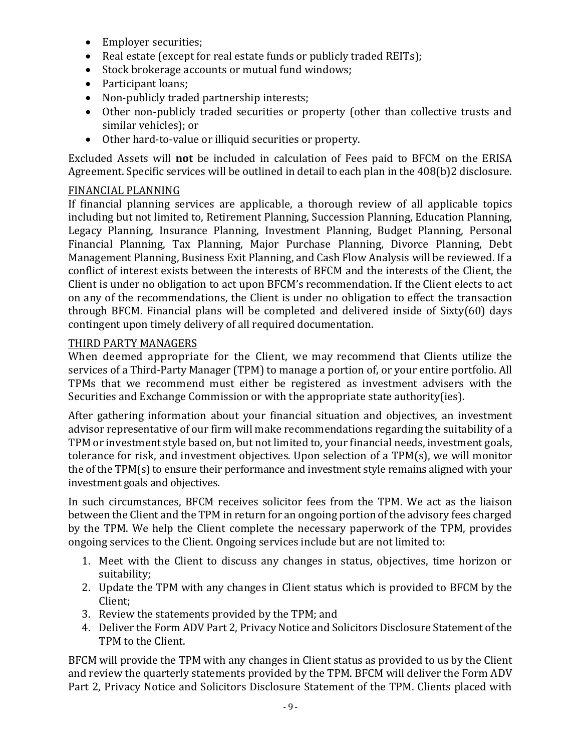- Employer securities;
- Real estate (except for real estate funds or publicly traded REITs);
- Stock brokerage accounts or mutual fund windows:
- Participant loans;
- Non-publicly traded partnership interests;
- Other non-publicly traded securities or property (other than collective trusts and similar vehicles); or
- Other hard-to-value or illiquid securities or property.

Excluded Assets will **not** be included in calculation of Fees paid to BFCM on the ERISA Agreement. Specific services will be outlined in detail to each plan in the 408(b)2 disclosure.

## FINANCIAL PLANNING

If financial planning services are applicable, a thorough review of all applicable topics including but not limited to, Retirement Planning, Succession Planning, Education Planning, Legacy Planning, Insurance Planning, Investment Planning, Budget Planning, Personal Financial Planning, Tax Planning, Major Purchase Planning, Divorce Planning, Debt Management Planning, Business Exit Planning, and Cash Flow Analysis will be reviewed. If a conflict of interest exists between the interests of BFCM and the interests of the Client, the Client is under no obligation to act upon BFCM's recommendation. If the Client elects to act on any of the recommendations, the Client is under no obligation to effect the transaction through BFCM. Financial plans will be completed and delivered inside of Sixty(60) days contingent upon timely delivery of all required documentation.

## THIRD PARTY MANAGERS

When deemed appropriate for the Client, we may recommend that Clients utilize the services of a Third-Party Manager (TPM) to manage a portion of, or your entire portfolio. All TPMs that we recommend must either be registered as investment advisers with the Securities and Exchange Commission or with the appropriate state authority(ies).

After gathering information about your financial situation and objectives, an investment advisor representative of our firm will make recommendations regarding the suitability of a TPM or investment style based on, but not limited to, your financial needs, investment goals, tolerance for risk, and investment objectives. Upon selection of a TPM(s), we will monitor the of the TPM(s) to ensure their performance and investment style remains aligned with your investment goals and objectives.

In such circumstances, BFCM receives solicitor fees from the TPM. We act as the liaison between the Client and the TPM in return for an ongoing portion of the advisory fees charged by the TPM. We help the Client complete the necessary paperwork of the TPM, provides ongoing services to the Client. Ongoing services include but are not limited to:

- 1. Meet with the Client to discuss any changes in status, objectives, time horizon or suitability;
- 2. Update the TPM with any changes in Client status which is provided to BFCM by the Client;
- 3. Review the statements provided by the TPM; and
- 4. Deliver the Form ADV Part 2, Privacy Notice and Solicitors Disclosure Statement of the TPM to the Client.

BFCM will provide the TPM with any changes in Client status as provided to us by the Client and review the quarterly statements provided by the TPM. BFCM will deliver the Form ADV Part 2, Privacy Notice and Solicitors Disclosure Statement of the TPM. Clients placed with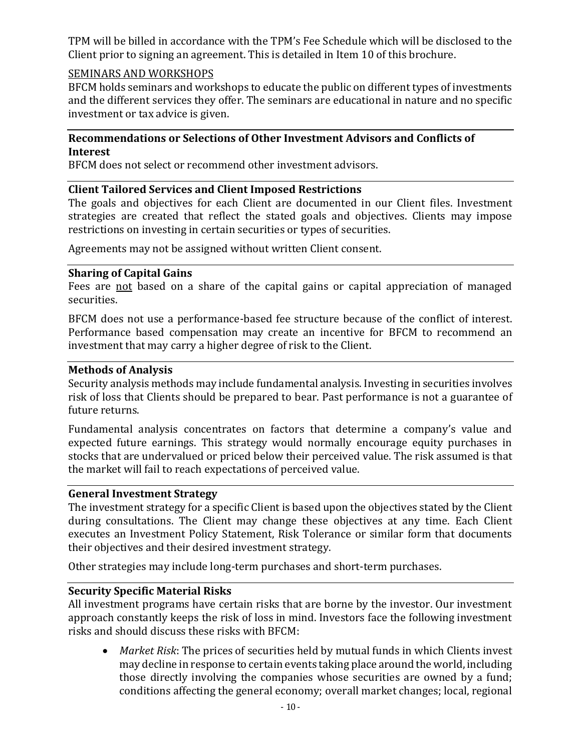TPM will be billed in accordance with the TPM's Fee Schedule which will be disclosed to the Client prior to signing an agreement. This is detailed in Item 10 of this brochure.

## SEMINARS AND WORKSHOPS

BFCM holds seminars and workshops to educate the public on different types of investments and the different services they offer. The seminars are educational in nature and no specific investment or tax advice is given.

## <span id="page-11-0"></span>**Recommendations or Selections of Other Investment Advisors and Conflicts of Interest**

BFCM does not select or recommend other investment advisors.

#### <span id="page-11-1"></span>**Client Tailored Services and Client Imposed Restrictions**

The goals and objectives for each Client are documented in our Client files. Investment strategies are created that reflect the stated goals and objectives. Clients may impose restrictions on investing in certain securities or types of securities.

Agreements may not be assigned without written Client consent.

#### <span id="page-11-2"></span>**Sharing of Capital Gains**

Fees are not based on a share of the capital gains or capital appreciation of managed securities.

BFCM does not use a performance-based fee structure because of the conflict of interest. Performance based compensation may create an incentive for BFCM to recommend an investment that may carry a higher degree of risk to the Client.

#### <span id="page-11-3"></span>**Methods of Analysis**

Security analysis methods may include fundamental analysis. Investing in securities involves risk of loss that Clients should be prepared to bear. Past performance is not a guarantee of future returns.

Fundamental analysis concentrates on factors that determine a company's value and expected future earnings. This strategy would normally encourage equity purchases in stocks that are undervalued or priced below their perceived value. The risk assumed is that the market will fail to reach expectations of perceived value.

#### <span id="page-11-4"></span>**General Investment Strategy**

The investment strategy for a specific Client is based upon the objectives stated by the Client during consultations. The Client may change these objectives at any time. Each Client executes an Investment Policy Statement, Risk Tolerance or similar form that documents their objectives and their desired investment strategy.

Other strategies may include long-term purchases and short-term purchases.

## <span id="page-11-5"></span>**Security Specific Material Risks**

All investment programs have certain risks that are borne by the investor. Our investment approach constantly keeps the risk of loss in mind. Investors face the following investment risks and should discuss these risks with BFCM:

• *Market Risk*: The prices of securities held by mutual funds in which Clients invest may decline in response to certain events taking place around the world, including those directly involving the companies whose securities are owned by a fund; conditions affecting the general economy; overall market changes; local, regional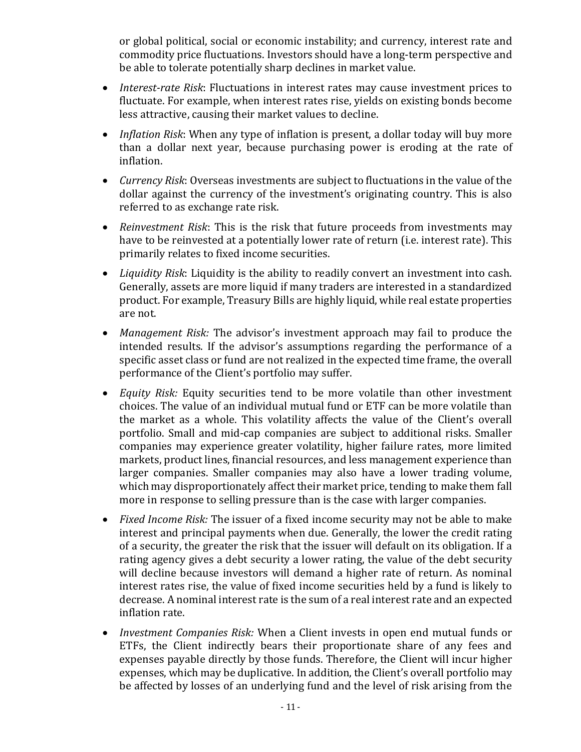or global political, social or economic instability; and currency, interest rate and commodity price fluctuations. Investors should have a long-term perspective and be able to tolerate potentially sharp declines in market value.

- *Interest-rate Risk*: Fluctuations in interest rates may cause investment prices to fluctuate. For example, when interest rates rise, yields on existing bonds become less attractive, causing their market values to decline.
- *Inflation Risk*: When any type of inflation is present, a dollar today will buy more than a dollar next year, because purchasing power is eroding at the rate of inflation.
- *Currency Risk*: Overseas investments are subject to fluctuations in the value of the dollar against the currency of the investment's originating country. This is also referred to as exchange rate risk.
- *Reinvestment Risk*: This is the risk that future proceeds from investments may have to be reinvested at a potentially lower rate of return (i.e. interest rate). This primarily relates to fixed income securities.
- *Liquidity Risk*: Liquidity is the ability to readily convert an investment into cash. Generally, assets are more liquid if many traders are interested in a standardized product. For example, Treasury Bills are highly liquid, while real estate properties are not.
- *Management Risk:* The advisor's investment approach may fail to produce the intended results. If the advisor's assumptions regarding the performance of a specific asset class or fund are not realized in the expected time frame, the overall performance of the Client's portfolio may suffer.
- *Equity Risk:* Equity securities tend to be more volatile than other investment choices. The value of an individual mutual fund or ETF can be more volatile than the market as a whole. This volatility affects the value of the Client's overall portfolio. Small and mid-cap companies are subject to additional risks. Smaller companies may experience greater volatility, higher failure rates, more limited markets, product lines, financial resources, and less management experience than larger companies. Smaller companies may also have a lower trading volume, which may disproportionately affect their market price, tending to make them fall more in response to selling pressure than is the case with larger companies.
- *Fixed Income Risk:* The issuer of a fixed income security may not be able to make interest and principal payments when due. Generally, the lower the credit rating of a security, the greater the risk that the issuer will default on its obligation. If a rating agency gives a debt security a lower rating, the value of the debt security will decline because investors will demand a higher rate of return. As nominal interest rates rise, the value of fixed income securities held by a fund is likely to decrease. A nominal interest rate is the sum of a real interest rate and an expected inflation rate.
- *Investment Companies Risk:* When a Client invests in open end mutual funds or ETFs, the Client indirectly bears their proportionate share of any fees and expenses payable directly by those funds. Therefore, the Client will incur higher expenses, which may be duplicative. In addition, the Client's overall portfolio may be affected by losses of an underlying fund and the level of risk arising from the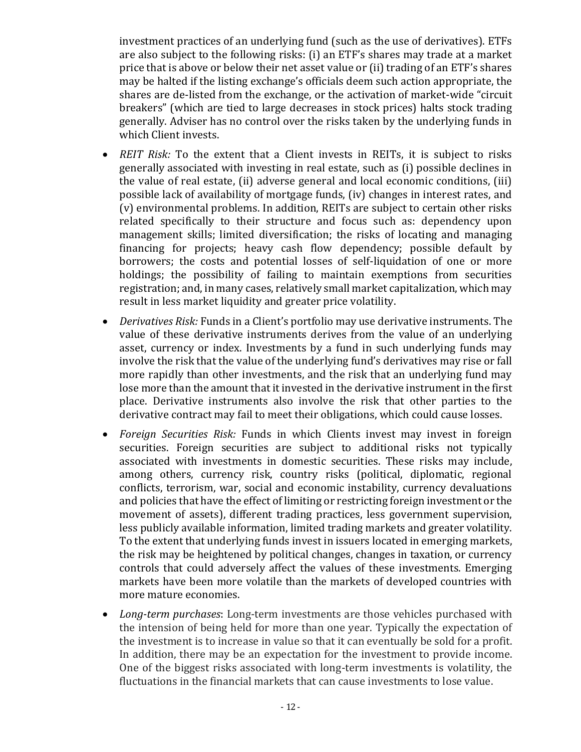investment practices of an underlying fund (such as the use of derivatives). ETFs are also subject to the following risks: (i) an ETF's shares may trade at a market price that is above or below their net asset value or (ii) trading of an ETF's shares may be halted if the listing exchange's officials deem such action appropriate, the shares are de-listed from the exchange, or the activation of market-wide "circuit breakers" (which are tied to large decreases in stock prices) halts stock trading generally. Adviser has no control over the risks taken by the underlying funds in which Client invests.

- *REIT Risk:* To the extent that a Client invests in REITs, it is subject to risks generally associated with investing in real estate, such as (i) possible declines in the value of real estate, (ii) adverse general and local economic conditions, (iii) possible lack of availability of mortgage funds, (iv) changes in interest rates, and (v) environmental problems. In addition, REITs are subject to certain other risks related specifically to their structure and focus such as: dependency upon management skills; limited diversification; the risks of locating and managing financing for projects; heavy cash flow dependency; possible default by borrowers; the costs and potential losses of self-liquidation of one or more holdings; the possibility of failing to maintain exemptions from securities registration; and, in many cases, relatively small market capitalization, which may result in less market liquidity and greater price volatility.
- *Derivatives Risk:* Funds in a Client's portfolio may use derivative instruments. The value of these derivative instruments derives from the value of an underlying asset, currency or index. Investments by a fund in such underlying funds may involve the risk that the value of the underlying fund's derivatives may rise or fall more rapidly than other investments, and the risk that an underlying fund may lose more than the amount that it invested in the derivative instrument in the first place. Derivative instruments also involve the risk that other parties to the derivative contract may fail to meet their obligations, which could cause losses.
- *Foreign Securities Risk:* Funds in which Clients invest may invest in foreign securities. Foreign securities are subject to additional risks not typically associated with investments in domestic securities. These risks may include, among others, currency risk, country risks (political, diplomatic, regional conflicts, terrorism, war, social and economic instability, currency devaluations and policies that have the effect of limiting or restricting foreign investment or the movement of assets), different trading practices, less government supervision, less publicly available information, limited trading markets and greater volatility. To the extent that underlying funds invest in issuers located in emerging markets, the risk may be heightened by political changes, changes in taxation, or currency controls that could adversely affect the values of these investments. Emerging markets have been more volatile than the markets of developed countries with more mature economies.
- *Long-term purchases*: Long-term investments are those vehicles purchased with the intension of being held for more than one year. Typically the expectation of the investment is to increase in value so that it can eventually be sold for a profit. In addition, there may be an expectation for the investment to provide income. One of the biggest risks associated with long-term investments is volatility, the fluctuations in the financial markets that can cause investments to lose value.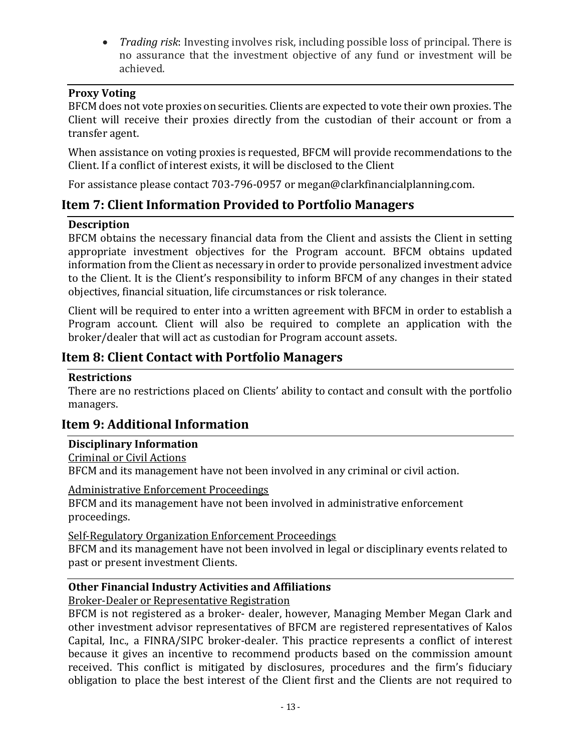• *Trading risk*: Investing involves risk, including possible loss of principal. There is no assurance that the investment objective of any fund or investment will be achieved.

## <span id="page-14-0"></span>**Proxy Voting**

BFCM does not vote proxies on securities. Clients are expected to vote their own proxies. The Client will receive their proxies directly from the custodian of their account or from a transfer agent.

When assistance on voting proxies is requested, BFCM will provide recommendations to the Client. If a conflict of interest exists, it will be disclosed to the Client

For assistance please contact 703-796-0957 or [megan@clarkfinancialplanning.com.](mailto:Person@Firm.com)

# <span id="page-14-1"></span>**Item 7: Client Information Provided to Portfolio Managers**

# <span id="page-14-2"></span>**Description**

BFCM obtains the necessary financial data from the Client and assists the Client in setting appropriate investment objectives for the Program account. BFCM obtains updated information from the Client as necessary in order to provide personalized investment advice to the Client. It is the Client's responsibility to inform BFCM of any changes in their stated objectives, financial situation, life circumstances or risk tolerance.

Client will be required to enter into a written agreement with BFCM in order to establish a Program account. Client will also be required to complete an application with the broker/dealer that will act as custodian for Program account assets.

# <span id="page-14-3"></span>**Item 8: Client Contact with Portfolio Managers**

#### <span id="page-14-4"></span>**Restrictions**

There are no restrictions placed on Clients' ability to contact and consult with the portfolio managers.

# <span id="page-14-5"></span>**Item 9: Additional Information**

#### <span id="page-14-6"></span>**Disciplinary Information**

<span id="page-14-7"></span>Criminal or Civil Actions

BFCM and its management have not been involved in any criminal or civil action.

#### <span id="page-14-8"></span>Administrative Enforcement Proceedings

BFCM and its management have not been involved in administrative enforcement proceedings.

#### <span id="page-14-9"></span>Self-Regulatory Organization Enforcement Proceedings

BFCM and its management have not been involved in legal or disciplinary events related to past or present investment Clients.

# <span id="page-14-10"></span>**Other Financial Industry Activities and Affiliations**

# <span id="page-14-11"></span>Broker-Dealer or Representative Registration

BFCM is not registered as a broker- dealer, however, Managing Member Megan Clark and other investment advisor representatives of BFCM are registered representatives of Kalos Capital, Inc., a FINRA/SIPC broker-dealer. This practice represents a conflict of interest because it gives an incentive to recommend products based on the commission amount received. This conflict is mitigated by disclosures, procedures and the firm's fiduciary obligation to place the best interest of the Client first and the Clients are not required to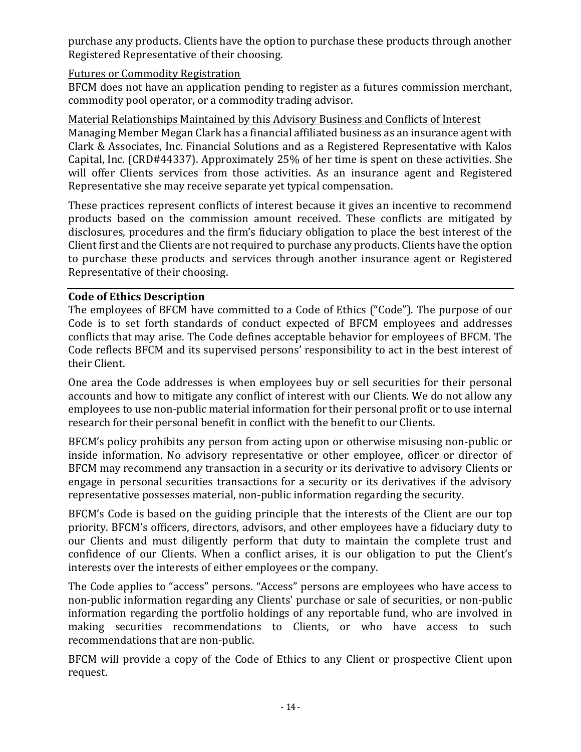purchase any products. Clients have the option to purchase these products through another Registered Representative of their choosing.

## <span id="page-15-0"></span>Futures or Commodity Registration

BFCM does not have an application pending to register as a futures commission merchant, commodity pool operator, or a commodity trading advisor.

<span id="page-15-1"></span>Material Relationships Maintained by this Advisory Business and Conflicts of Interest Managing Member Megan Clark has a financial affiliated business as an insurance agent with Clark & Associates, Inc. Financial Solutions and as a Registered Representative with Kalos Capital, Inc. (CRD#44337). Approximately 25% of her time is spent on these activities. She will offer Clients services from those activities. As an insurance agent and Registered Representative she may receive separate yet typical compensation.

These practices represent conflicts of interest because it gives an incentive to recommend products based on the commission amount received. These conflicts are mitigated by disclosures, procedures and the firm's fiduciary obligation to place the best interest of the Client first and the Clients are not required to purchase any products. Clients have the option to purchase these products and services through another insurance agent or Registered Representative of their choosing.

## <span id="page-15-2"></span>**Code of Ethics Description**

The employees of BFCM have committed to a Code of Ethics ("Code"). The purpose of our Code is to set forth standards of conduct expected of BFCM employees and addresses conflicts that may arise. The Code defines acceptable behavior for employees of BFCM. The Code reflects BFCM and its supervised persons' responsibility to act in the best interest of their Client.

One area the Code addresses is when employees buy or sell securities for their personal accounts and how to mitigate any conflict of interest with our Clients. We do not allow any employees to use non-public material information for their personal profit or to use internal research for their personal benefit in conflict with the benefit to our Clients.

BFCM's policy prohibits any person from acting upon or otherwise misusing non-public or inside information. No advisory representative or other employee, officer or director of BFCM may recommend any transaction in a security or its derivative to advisory Clients or engage in personal securities transactions for a security or its derivatives if the advisory representative possesses material, non-public information regarding the security.

BFCM's Code is based on the guiding principle that the interests of the Client are our top priority. BFCM's officers, directors, advisors, and other employees have a fiduciary duty to our Clients and must diligently perform that duty to maintain the complete trust and confidence of our Clients. When a conflict arises, it is our obligation to put the Client's interests over the interests of either employees or the company.

The Code applies to "access" persons. "Access" persons are employees who have access to non-public information regarding any Clients' purchase or sale of securities, or non-public information regarding the portfolio holdings of any reportable fund, who are involved in making securities recommendations to Clients, or who have access to such recommendations that are non-public.

BFCM will provide a copy of the Code of Ethics to any Client or prospective Client upon request.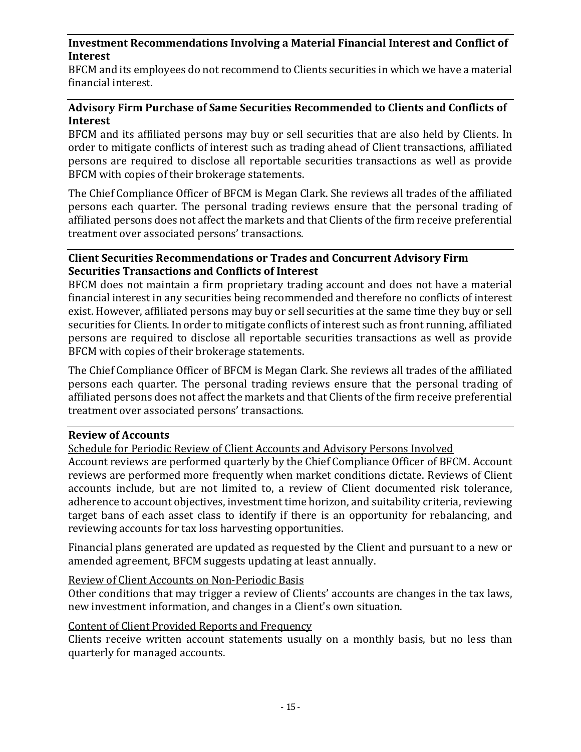## <span id="page-16-0"></span>**Investment Recommendations Involving a Material Financial Interest and Conflict of Interest**

BFCM and its employees do not recommend to Clients securities in which we have a material financial interest.

## <span id="page-16-1"></span>**Advisory Firm Purchase of Same Securities Recommended to Clients and Conflicts of Interest**

BFCM and its affiliated persons may buy or sell securities that are also held by Clients. In order to mitigate conflicts of interest such as trading ahead of Client transactions, affiliated persons are required to disclose all reportable securities transactions as well as provide BFCM with copies of their brokerage statements.

The Chief Compliance Officer of BFCM is Megan Clark. She reviews all trades of the affiliated persons each quarter. The personal trading reviews ensure that the personal trading of affiliated persons does not affect the markets and that Clients of the firm receive preferential treatment over associated persons' transactions.

#### <span id="page-16-2"></span>**Client Securities Recommendations or Trades and Concurrent Advisory Firm Securities Transactions and Conflicts of Interest**

BFCM does not maintain a firm proprietary trading account and does not have a material financial interest in any securities being recommended and therefore no conflicts of interest exist. However, affiliated persons may buy or sell securities at the same time they buy or sell securities for Clients. In order to mitigate conflicts of interest such as front running, affiliated persons are required to disclose all reportable securities transactions as well as provide BFCM with copies of their brokerage statements.

The Chief Compliance Officer of BFCM is Megan Clark. She reviews all trades of the affiliated persons each quarter. The personal trading reviews ensure that the personal trading of affiliated persons does not affect the markets and that Clients of the firm receive preferential treatment over associated persons' transactions.

#### <span id="page-16-3"></span>**Review of Accounts**

<span id="page-16-4"></span>Schedule for Periodic Review of Client Accounts and Advisory Persons Involved

Account reviews are performed quarterly by the Chief Compliance Officer of BFCM. Account reviews are performed more frequently when market conditions dictate. Reviews of Client accounts include, but are not limited to, a review of Client documented risk tolerance, adherence to account objectives, investment time horizon, and suitability criteria, reviewing target bans of each asset class to identify if there is an opportunity for rebalancing, and reviewing accounts for tax loss harvesting opportunities.

Financial plans generated are updated as requested by the Client and pursuant to a new or amended agreement, BFCM suggests updating at least annually.

#### <span id="page-16-5"></span>Review of Client Accounts on Non-Periodic Basis

Other conditions that may trigger a review of Clients' accounts are changes in the tax laws, new investment information, and changes in a Client's own situation.

#### <span id="page-16-6"></span>Content of Client Provided Reports and Frequency

Clients receive written account statements usually on a monthly basis, but no less than quarterly for managed accounts.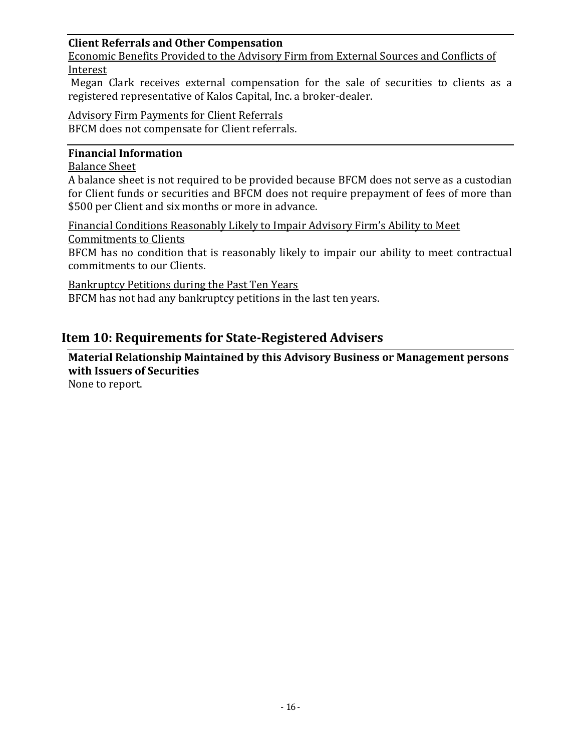## <span id="page-17-0"></span>**Client Referrals and Other Compensation**

<span id="page-17-1"></span>Economic Benefits Provided to the Advisory Firm from External Sources and Conflicts of Interest

Megan Clark receives external compensation for the sale of securities to clients as a registered representative of Kalos Capital, Inc. a broker-dealer.

<span id="page-17-2"></span>Advisory Firm Payments for Client Referrals BFCM does not compensate for Client referrals.

#### <span id="page-17-3"></span>**Financial Information**

#### <span id="page-17-4"></span>Balance Sheet

A balance sheet is not required to be provided because BFCM does not serve as a custodian for Client funds or securities and BFCM does not require prepayment of fees of more than \$500 per Client and six months or more in advance.

<span id="page-17-5"></span>Financial Conditions Reasonably Likely to Impair Advisory Firm's Ability to Meet Commitments to Clients

BFCM has no condition that is reasonably likely to impair our ability to meet contractual commitments to our Clients.

<span id="page-17-6"></span>Bankruptcy Petitions during the Past Ten Years

BFCM has not had any bankruptcy petitions in the last ten years.

# <span id="page-17-7"></span>**Item 10: Requirements for State-Registered Advisers**

<span id="page-17-8"></span>**Material Relationship Maintained by this Advisory Business or Management persons with Issuers of Securities**

None to report.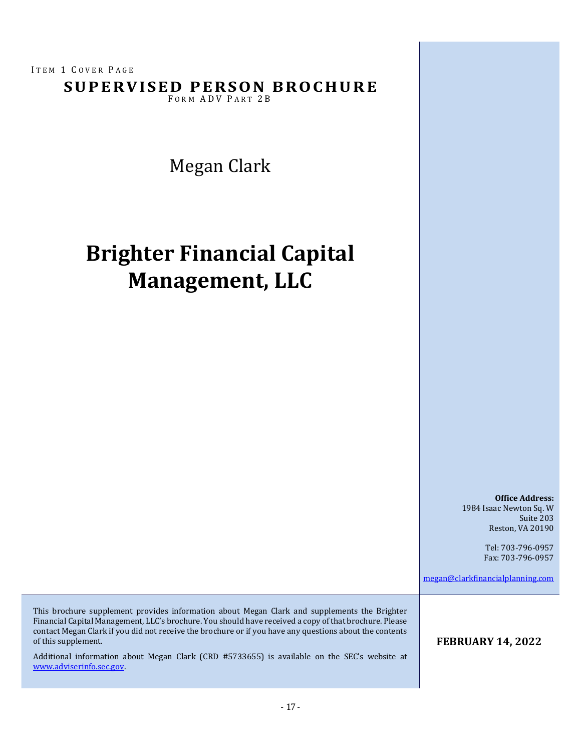ITEM 1 COVER PAGE

**SUPERVISED PERSON BROCHURE** 

FORM ADV PART 2B

Megan Clark

# **Brighter Financial Capital Management, LLC**

**Office Address:** 1984 Isaac Newton Sq. W Suite 203 Reston, VA 20190

> Tel: 703-796-0957 Fax: 703-796-0957

[megan@clarkfinancialplanning.com](mailto:Person@Firm.com)

This brochure supplement provides information about Megan Clark and supplements the Brighter Financial Capital Management, LLC's brochure. You should have received a copy of that brochure. Please contact Megan Clark if you did not receive the brochure or if you have any questions about the contents of this supplement.

Additional information about Megan Clark (CRD #5733655) is available on the SEC's website at [www.adviserinfo.sec.gov.](http://www.adviserinfo.sec.gov/)

#### **FEBRUARY 14, 2022**